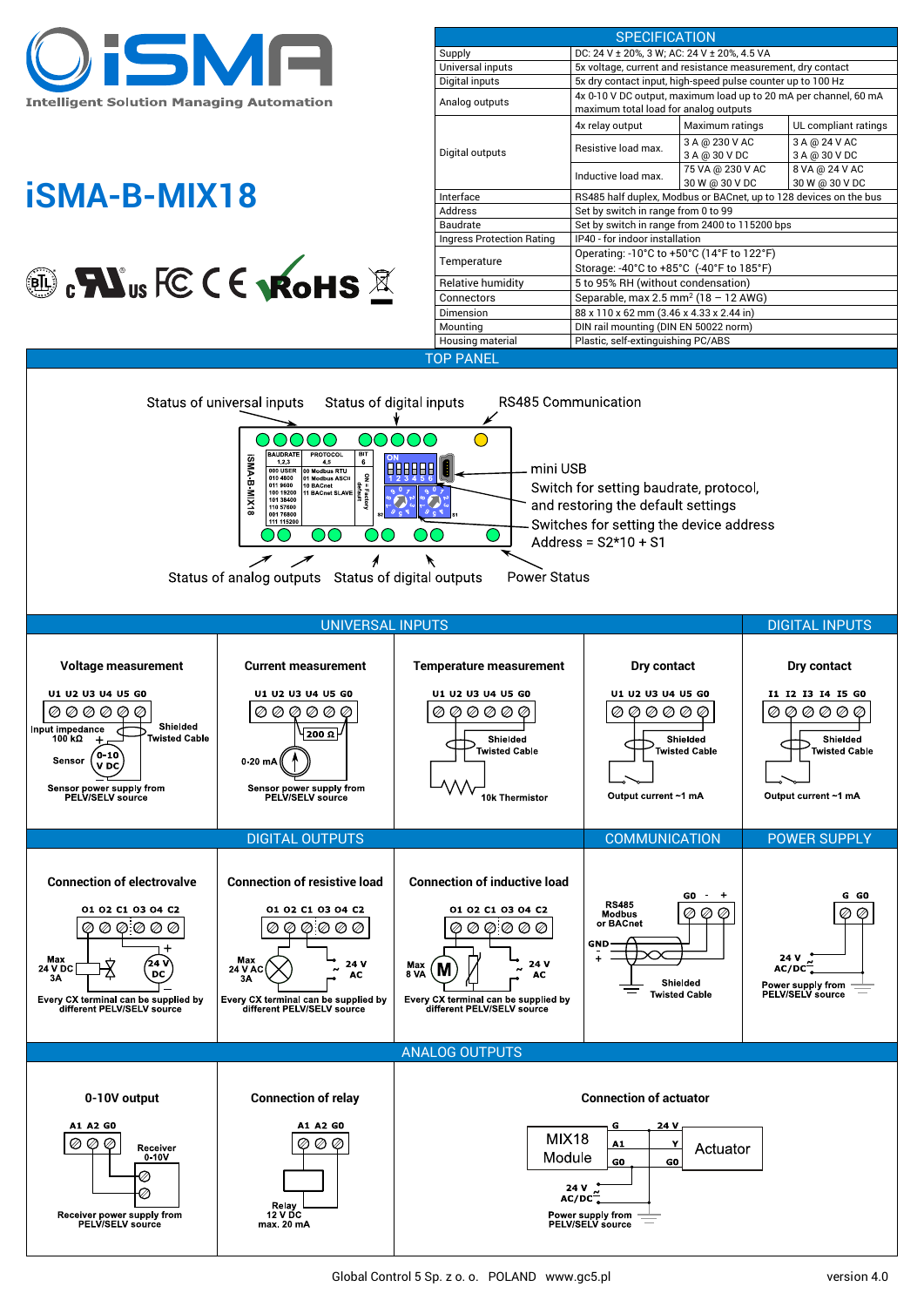

# **iSMA-B-MIX18**



|                                  | <b>SPECIFICATION</b>                                                                                                            |                                    |                                  |
|----------------------------------|---------------------------------------------------------------------------------------------------------------------------------|------------------------------------|----------------------------------|
| Supply                           | DC: 24 V ± 20%, 3 W; AC: 24 V ± 20%, 4.5 VA                                                                                     |                                    |                                  |
| Universal inputs                 | 5x voltage, current and resistance measurement, dry contact                                                                     |                                    |                                  |
| Digital inputs                   | 5x dry contact input, high-speed pulse counter up to 100 Hz                                                                     |                                    |                                  |
| Analog outputs                   | 4x 0-10 V DC output, maximum load up to 20 mA per channel, 60 mA<br>maximum total load for analog outputs                       |                                    |                                  |
| Digital outputs                  | 4x relay output                                                                                                                 | Maximum ratings                    | UL compliant ratings             |
|                                  | Resistive load max.                                                                                                             | 3 A @ 230 V AC<br>3 A @ 30 V DC    | 3 A @ 24 V AC<br>3 A @ 30 V DC   |
|                                  | Inductive load max.                                                                                                             | 75 VA @ 230 V AC<br>30 W @ 30 V DC | 8 VA @ 24 V AC<br>30 W @ 30 V DC |
| Interface                        | RS485 half duplex, Modbus or BACnet, up to 128 devices on the bus                                                               |                                    |                                  |
| Address                          | Set by switch in range from 0 to 99                                                                                             |                                    |                                  |
| Baudrate                         | Set by switch in range from 2400 to 115200 bps                                                                                  |                                    |                                  |
| <b>Ingress Protection Rating</b> | IP40 - for indoor installation                                                                                                  |                                    |                                  |
| Temperature                      | Operating: $-10^{\circ}$ C to $+50^{\circ}$ C (14 $^{\circ}$ F to 122 $^{\circ}$ F)<br>Storage: -40°C to +85°C (-40°F to 185°F) |                                    |                                  |
| Relative humidity                | 5 to 95% RH (without condensation)                                                                                              |                                    |                                  |
| Connectors                       | Separable, max $2.5$ mm <sup>2</sup> (18 - 12 AWG)                                                                              |                                    |                                  |
| Dimension                        | 88 x 110 x 62 mm (3.46 x 4.33 x 2.44 in)                                                                                        |                                    |                                  |
| Mounting                         | DIN rail mounting (DIN EN 50022 norm)                                                                                           |                                    |                                  |
| Housing material                 | Plastic, self-extinguishing PC/ABS                                                                                              |                                    |                                  |
| <b>TOP PANEL</b>                 |                                                                                                                                 |                                    |                                  |
|                                  |                                                                                                                                 |                                    |                                  |